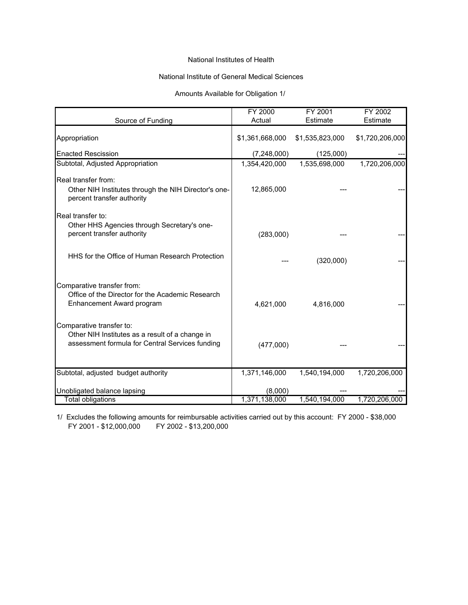## National Institutes of Health

## National Institute of General Medical Sciences

#### Amounts Available for Obligation 1/

|                                                                                                                                | FY 2000<br>Actual        | FY 2001<br>Estimate | FY 2002<br>Estimate |
|--------------------------------------------------------------------------------------------------------------------------------|--------------------------|---------------------|---------------------|
| Source of Funding                                                                                                              |                          |                     |                     |
| Appropriation                                                                                                                  | \$1,361,668,000          | \$1,535,823,000     | \$1,720,206,000     |
| <b>Enacted Rescission</b>                                                                                                      | (7, 248, 000)            | (125,000)           |                     |
| Subtotal, Adjusted Appropriation                                                                                               | 1,354,420,000            | 1,535,698,000       | 1,720,206,000       |
| Real transfer from:<br>Other NIH Institutes through the NIH Director's one-<br>percent transfer authority                      | 12,865,000               |                     |                     |
| Real transfer to:<br>Other HHS Agencies through Secretary's one-<br>percent transfer authority                                 | (283,000)                |                     |                     |
| HHS for the Office of Human Research Protection                                                                                |                          | (320,000)           |                     |
| Comparative transfer from:<br>Office of the Director for the Academic Research<br>Enhancement Award program                    | 4,621,000                | 4,816,000           |                     |
| Comparative transfer to:<br>Other NIH Institutes as a result of a change in<br>assessment formula for Central Services funding | (477,000)                |                     |                     |
| Subtotal, adjusted budget authority                                                                                            | 1,371,146,000            | 1,540,194,000       | 1,720,206,000       |
| Unobligated balance lapsing<br><b>Total obligations</b>                                                                        | (8,000)<br>1,371,138,000 | 1,540,194,000       | 1,720,206,000       |

FY 2001 - \$12,000,000 1/ Excludes the following amounts for reimbursable activities carried out by this account: FY 2000 - \$38,000 FY 2002 - \$13,200,000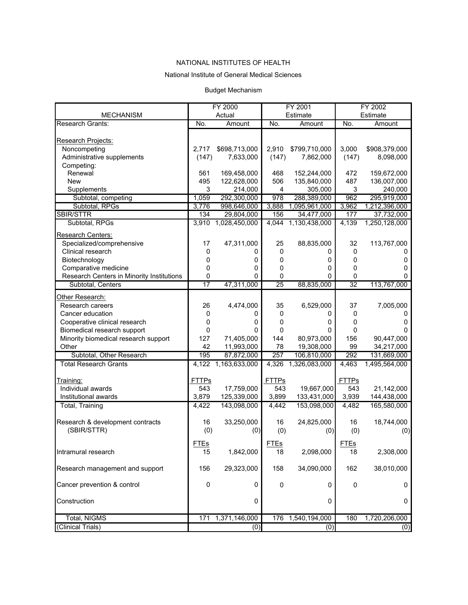#### National Institute of General Medical Sciences

#### Budget Mechanism

|                                           | FY 2000             |               | FY 2001             |               | FY 2002         |                            |
|-------------------------------------------|---------------------|---------------|---------------------|---------------|-----------------|----------------------------|
| <b>MECHANISM</b>                          |                     | Actual        |                     | Estimate      |                 | Estimate                   |
| <b>Research Grants:</b>                   | No.                 | Amount        | No.                 | Amount        | No.             | Amount                     |
|                                           |                     |               |                     |               |                 |                            |
| Research Projects:                        |                     |               |                     |               |                 |                            |
| Noncompeting                              | 2,717               | \$698,713,000 | 2,910               | \$799,710,000 | 3,000           | \$908,379,000              |
| Administrative supplements                | (147)               | 7,633,000     | (147)               | 7,862,000     | (147)           | 8,098,000                  |
| Competing:                                |                     |               |                     |               |                 |                            |
| Renewal                                   | 561                 | 169,458,000   | 468                 | 152,244,000   | 472             | 159,672,000                |
| <b>New</b>                                | 495                 | 122,628,000   | 506                 | 135,840,000   | 487             | 136,007,000                |
| Supplements                               | 3                   | 214,000       | 4                   | 305,000       | 3               | 240,000                    |
| Subtotal, competing                       | 1,059               | 292,300,000   | 978                 | 288,389,000   | 962             | 295,919,000                |
| Subtotal, RPGs                            | 3,776               | 998,646,000   | 3,888               | 1,095,961,000 | 3,962           | 1,212,396,000              |
| <b>SBIR/STTR</b>                          | 134                 | 29,804,000    | 156                 | 34,477,000    | 177             | 37,732,000                 |
| Subtotal, RPGs                            | 3,910               | 1,028,450,000 | 4,044               | 1,130,438,000 | 4,139           | 1,250,128,000              |
| Research Centers:                         |                     |               |                     |               |                 |                            |
| Specialized/comprehensive                 | 17                  | 47,311,000    | 25                  | 88,835,000    | 32              | 113,767,000                |
| Clinical research                         | 0                   | 0             | 0                   | O             | 0               |                            |
| Biotechnology                             | 0                   | 0             | 0                   | 0             | 0               | 0                          |
| Comparative medicine                      | 0                   | 0             | 0                   | 0             | 0               | 0                          |
| Research Centers in Minority Institutions | 0                   | $\mathbf{0}$  | 0                   | 0             | 0               | 0                          |
| Subtotal, Centers                         | $\overline{17}$     | 47,311,000    | $\overline{25}$     | 88,835,000    | $\overline{32}$ | 113,767,000                |
|                                           |                     |               |                     |               |                 |                            |
| Other Research:                           |                     |               |                     |               |                 |                            |
| Research careers                          | 26                  | 4,474,000     | 35                  | 6,529,000     | 37              | 7,005,000                  |
| Cancer education                          | 0                   | 0             | 0                   | 0             | 0               | 0                          |
| Cooperative clinical research             | 0                   | 0             | 0                   | 0             | 0               | 0                          |
| Biomedical research support               | 0                   | $\Omega$      | 0                   | 0             | 0               | 0                          |
| Minority biomedical research support      | 127                 | 71,405,000    | 144                 | 80,973,000    | 156             | 90,447,000                 |
| Other                                     | 42                  | 11,993,000    | 78                  | 19,308,000    | 99              | 34,217,000                 |
| Subtotal, Other Research                  | 195                 | 87,872,000    | 257                 | 106,810,000   | 292             | 131,669,000                |
| <b>Total Research Grants</b>              | 4,122               | 1,163,633,000 | 4,326               | 1,326,083,000 | 4,463           | 1,495,564,000              |
|                                           |                     |               |                     |               |                 |                            |
| Training:<br>Individual awards            | <b>FTTPs</b><br>543 |               | <b>FTTPs</b><br>543 |               | <b>FTTPs</b>    |                            |
|                                           |                     | 17,759,000    |                     | 19,667,000    | 543             | 21,142,000                 |
| Institutional awards                      | 3,879               | 125,339,000   | 3,899<br>4.442      | 133,431,000   | 3,939           | 144,438,000<br>165,580,000 |
| Total, Training                           | 4,422               | 143,098,000   |                     | 153,098,000   | 4,482           |                            |
| Research & development contracts          | 16                  | 33,250,000    | 16                  | 24,825,000    | 16              | 18,744,000                 |
| (SBIR/STTR)                               | (0)                 | (0)           | (0)                 | (0)           | (0)             | (0)                        |
|                                           |                     |               |                     |               |                 |                            |
|                                           | <b>FTEs</b>         |               | <b>FTEs</b>         |               | <b>FTEs</b>     |                            |
| Intramural research                       | 15                  | 1,842,000     | 18                  | 2,098,000     | 18              | 2,308,000                  |
|                                           |                     |               |                     |               |                 |                            |
| Research management and support           | 156                 | 29,323,000    | 158                 | 34,090,000    | 162             | 38,010,000                 |
|                                           |                     |               |                     |               |                 |                            |
| Cancer prevention & control               | $\mathsf 0$         | 0             | $\pmb{0}$           | 0             | $\pmb{0}$       | 0                          |
| Construction                              |                     | 0             |                     | 0             |                 | 0                          |
|                                           |                     |               |                     |               |                 |                            |
| <b>Total, NIGMS</b>                       | 171                 | 1,371,146,000 | 176                 | 1,540,194,000 | 180             | 1,720,206,000              |
| (Clinical Trials)                         |                     | (0)           |                     | (0)           |                 | (0)                        |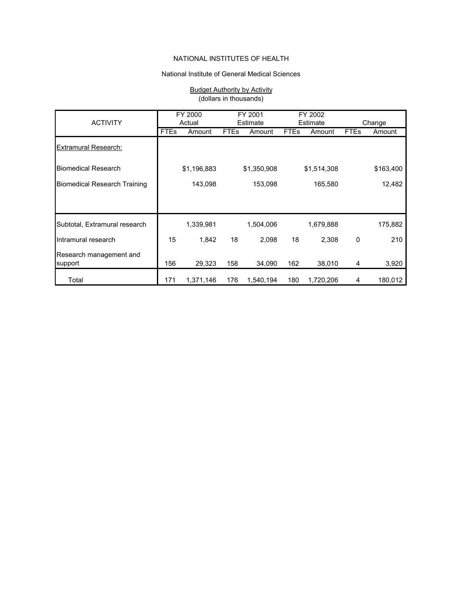#### National Institute of General Medical Sciences

#### Budget Authority by Activity (dollars in thousands)

| <b>ACTIVITY</b>                     |             | FY 2000<br>Actual |             | FY 2001<br>Estimate |             | FY 2002<br>Estimate |             | Change    |  |
|-------------------------------------|-------------|-------------------|-------------|---------------------|-------------|---------------------|-------------|-----------|--|
|                                     | <b>FTEs</b> | Amount            | <b>FTEs</b> | Amount              | <b>FTEs</b> | Amount              | <b>FTEs</b> | Amount    |  |
| <b>Extramural Research:</b>         |             |                   |             |                     |             |                     |             |           |  |
| <b>Biomedical Research</b>          |             | \$1,196,883       |             | \$1,350,908         |             | \$1,514,308         |             | \$163,400 |  |
| <b>Biomedical Research Training</b> |             | 143,098           |             | 153,098             |             | 165,580             |             | 12,482    |  |
|                                     |             |                   |             |                     |             |                     |             |           |  |
| Subtotal, Extramural research       |             | 1,339,981         |             | 1,504,006           |             | 1,679,888           |             | 175,882   |  |
| Intramural research                 | 15          | 1,842             | 18          | 2,098               | 18          | 2,308               | 0           | 210       |  |
| Research management and<br>support  | 156         | 29,323            | 158         | 34,090              | 162         | 38,010              | 4           | 3,920     |  |
| Total                               | 171         | 1,371,146         | 176         | 1,540,194           | 180         | 1,720,206           | 4           | 180,012   |  |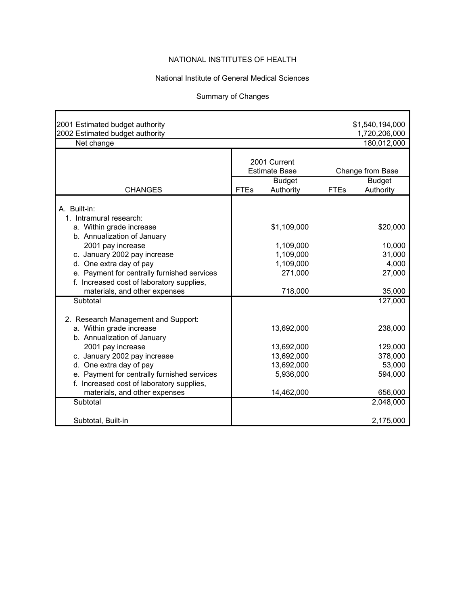## National Institute of General Medical Sciences

# Summary of Changes

**r** 

Ŧ.

| 2001 Estimated budget authority<br>2002 Estimated budget authority                       |             |                                                                    |             | \$1,540,194,000<br>1,720,206,000               |
|------------------------------------------------------------------------------------------|-------------|--------------------------------------------------------------------|-------------|------------------------------------------------|
| Net change                                                                               |             |                                                                    |             | 180,012,000                                    |
| <b>CHANGES</b>                                                                           | <b>FTEs</b> | 2001 Current<br><b>Estimate Base</b><br><b>Budget</b><br>Authority | <b>FTEs</b> | Change from Base<br><b>Budget</b><br>Authority |
|                                                                                          |             |                                                                    |             |                                                |
| A. Built-in:<br>1. Intramural research:                                                  |             |                                                                    |             |                                                |
| a. Within grade increase<br>b. Annualization of January                                  |             | \$1,109,000                                                        |             | \$20,000                                       |
| 2001 pay increase                                                                        |             | 1,109,000                                                          |             | 10,000                                         |
| c. January 2002 pay increase                                                             |             | 1,109,000                                                          |             | 31,000                                         |
| d. One extra day of pay                                                                  |             | 1,109,000                                                          |             | 4,000                                          |
| e. Payment for centrally furnished services<br>f. Increased cost of laboratory supplies, |             | 271,000                                                            |             | 27,000                                         |
| materials, and other expenses                                                            |             | 718,000                                                            |             | 35,000                                         |
| Subtotal                                                                                 |             |                                                                    |             | 127,000                                        |
|                                                                                          |             |                                                                    |             |                                                |
| 2. Research Management and Support:                                                      |             |                                                                    |             |                                                |
| a. Within grade increase<br>b. Annualization of January                                  |             | 13,692,000                                                         |             | 238,000                                        |
| 2001 pay increase                                                                        |             | 13,692,000                                                         |             | 129,000                                        |
| c. January 2002 pay increase                                                             |             | 13,692,000                                                         |             | 378,000                                        |
| d. One extra day of pay                                                                  |             | 13,692,000                                                         |             | 53,000                                         |
| e. Payment for centrally furnished services                                              |             | 5,936,000                                                          |             | 594,000                                        |
| f. Increased cost of laboratory supplies,                                                |             |                                                                    |             |                                                |
| materials, and other expenses                                                            |             | 14,462,000                                                         |             | 656,000                                        |
| Subtotal                                                                                 |             |                                                                    |             | 2,048,000                                      |
| Subtotal, Built-in                                                                       |             |                                                                    |             | 2,175,000                                      |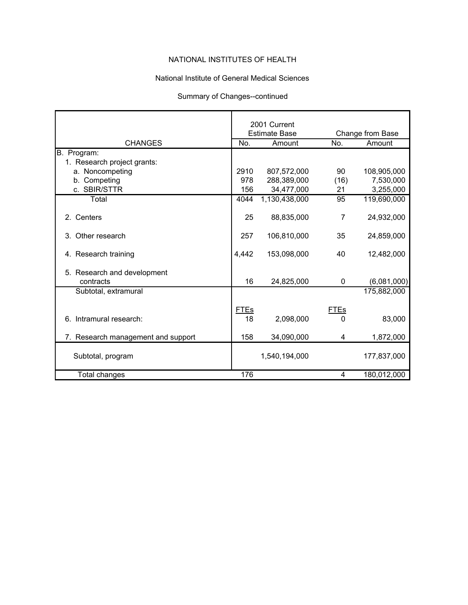## National Institute of General Medical Sciences

#### Summary of Changes--continued

|                                          |             | 2001 Current         |                |                  |
|------------------------------------------|-------------|----------------------|----------------|------------------|
|                                          |             | <b>Estimate Base</b> |                | Change from Base |
| <b>CHANGES</b>                           | No.         | Amount               | No.            | Amount           |
| B. Program:                              |             |                      |                |                  |
| 1. Research project grants:              |             |                      |                |                  |
| a. Noncompeting                          | 2910        | 807,572,000          | 90             | 108,905,000      |
| b. Competing                             | 978         | 288,389,000          | (16)           | 7,530,000        |
| c. SBIR/STTR                             | 156         | 34,477,000           | 21             | 3,255,000        |
| Total                                    | 4044        | 1,130,438,000        | 95             | 119,690,000      |
| 2. Centers                               | 25          | 88,835,000           | $\overline{7}$ | 24,932,000       |
| 3. Other research                        | 257         | 106,810,000          | 35             | 24,859,000       |
| 4. Research training                     | 4,442       | 153,098,000          | 40             | 12,482,000       |
| 5. Research and development<br>contracts | 16          | 24,825,000           | 0              | (6,081,000)      |
| Subtotal, extramural                     |             |                      |                | 175,882,000      |
|                                          |             |                      |                |                  |
|                                          | <b>FTEs</b> |                      | FTEs           |                  |
| 6. Intramural research:                  | 18          | 2,098,000            | 0              | 83,000           |
|                                          |             |                      |                |                  |
| 7. Research management and support       | 158         | 34,090,000           | 4              | 1,872,000        |
| Subtotal, program                        |             | 1,540,194,000        |                | 177,837,000      |
| Total changes                            | 176         |                      | 4              | 180,012,000      |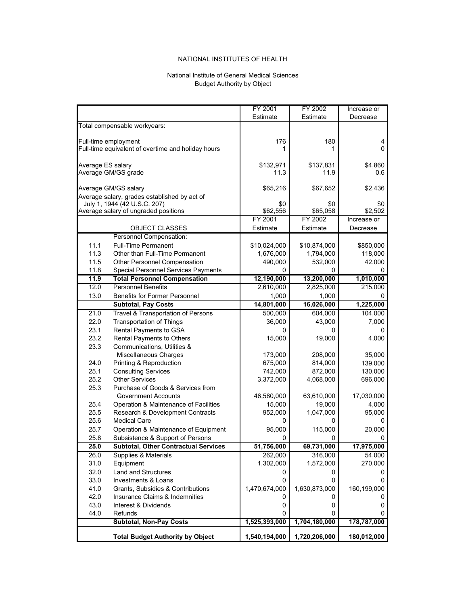#### National Institute of General Medical Sciences Budget Authority by Object

|                   | <b>Total Budget Authority by Object</b>                              | 1,540,194,000     | 1,720,206,000     | 180,012,000    |
|-------------------|----------------------------------------------------------------------|-------------------|-------------------|----------------|
|                   | <b>Subtotal, Non-Pay Costs</b>                                       | 1,525,393,000     | 1,704,180,000     | 178,787,000    |
| 44.0              | Refunds                                                              | 0                 | 0                 | 0              |
| 43.0              | Interest & Dividends                                                 | 0                 | 0                 | 0              |
| 42.0              | Insurance Claims & Indemnities                                       | 0                 | 0                 | 0              |
| 41.0              | Grants, Subsidies & Contributions                                    | 1,470,674,000     | 1,630,873,000     | 160,199,000    |
| 33.0              | Investments & Loans                                                  | 0                 | 0                 | 0              |
| 32.0              | <b>Land and Structures</b>                                           | 0                 | 0                 | 0              |
| 31.0              | Equipment                                                            | 1,302,000         | 1,572,000         | 270,000        |
| 26.0              | Supplies & Materials                                                 | 262,000           | 316,000           | 54,000         |
| 25.0              | <b>Subtotal, Other Contractual Services</b>                          | 51,756,000        | 69,731,000        | 17,975,000     |
| 25.8              | Subsistence & Support of Persons                                     | 0                 | 0                 | 0              |
| 25.7              | Operation & Maintenance of Equipment                                 | 95,000            | 115,000           | 20,000         |
| 25.6              | <b>Medical Care</b>                                                  | 0                 | 0                 | 0              |
| 25.5              | Research & Development Contracts                                     | 952,000           | 1,047,000         | 95,000         |
| 25.4              | Operation & Maintenance of Facilities                                | 15,000            | 19.000            | 4,000          |
|                   | <b>Government Accounts</b>                                           | 46,580,000        | 63,610,000        | 17,030,000     |
| 25.3              | Purchase of Goods & Services from                                    |                   |                   |                |
| 25.2              | <b>Other Services</b>                                                | 3,372,000         | 4,068,000         | 696,000        |
| 25.1              | <b>Consulting Services</b>                                           | 742,000           | 872,000           | 130,000        |
| 24.0              | Printing & Reproduction                                              | 675,000           | 814,000           | 139,000        |
|                   | Miscellaneous Charges                                                | 173,000           | 208,000           | 35,000         |
| 23.3              | Communications, Utilities &                                          |                   |                   |                |
| 23.2              | Rental Payments to Others                                            | 15,000            | 19,000            | 4,000          |
| 23.1              | Rental Payments to GSA                                               | 0                 | 0                 | 0              |
| 22.0              | <b>Transportation of Things</b>                                      | 36,000            | 43,000            | 7.000          |
| 21.0              | Travel & Transportation of Persons                                   | 500,000           | 604,000           | 104,000        |
|                   | <b>Subtotal, Pay Costs</b>                                           | 14,801,000        | 16,026,000        | 1,225,000      |
| 13.0              | <b>Benefits for Former Personnel</b>                                 | 1,000             | 1,000             | 0              |
| 12.0              | <b>Personnel Benefits</b>                                            | 2,610,000         | 2,825,000         | 215,000        |
| 11.9              | <b>Total Personnel Compensation</b>                                  | 12,190,000        | 13,200,000        | 1,010,000      |
| 11.8              | <b>Special Personnel Services Payments</b>                           | 0                 | 0                 | 0              |
| 11.5              | Other Personnel Compensation                                         | 490,000           | 532,000           | 42,000         |
| 11.3              | Other than Full-Time Permanent                                       | 1,676,000         | 1,794,000         | 118,000        |
| 11.1              | <b>Full-Time Permanent</b>                                           | \$10,024,000      | \$10,874,000      | \$850,000      |
|                   | Personnel Compensation:                                              |                   |                   |                |
|                   | <b>OBJECT CLASSES</b>                                                | Estimate          | Estimate          | Decrease       |
|                   |                                                                      | FY 2001           | FY 2002           | Increase or    |
|                   | Average salary of ungraded positions                                 | \$62,556          | \$65,058          | \$2,502        |
|                   | July 1, 1944 (42 U.S.C. 207)                                         | \$0               | \$0               | \$0            |
|                   | Average GM/GS salary<br>Average salary, grades established by act of |                   |                   |                |
|                   |                                                                      | \$65,216          | \$67,652          | \$2,436        |
| Average ES salary | Average GM/GS grade                                                  | \$132,971<br>11.3 | \$137,831<br>11.9 | \$4,860<br>0.6 |
|                   | Full-time equivalent of overtime and holiday hours                   | 1                 | 1                 | 0              |
|                   | Full-time employment                                                 | 176               | 180               | 4              |
|                   | Total compensable workyears:                                         |                   |                   |                |
|                   |                                                                      | Estimate          | Estimate          | Decrease       |
|                   |                                                                      | FY 2001           | FY 2002           | Increase or    |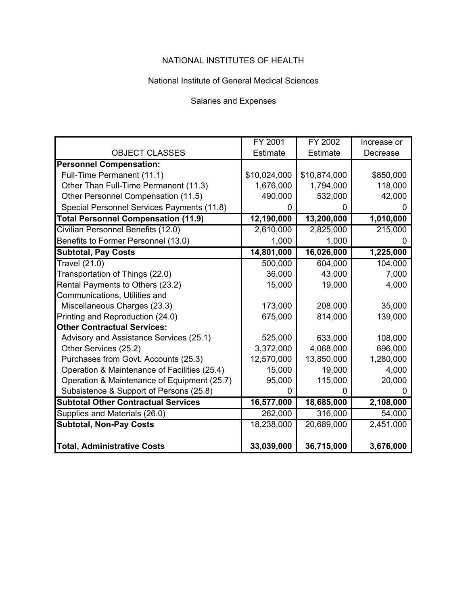## National Institute of General Medical Sciences

## Salaries and Expenses

|                                              | FY 2001      | FY 2002         | Increase or |
|----------------------------------------------|--------------|-----------------|-------------|
| <b>OBJECT CLASSES</b>                        | Estimate     | <b>Estimate</b> | Decrease    |
| <b>Personnel Compensation:</b>               |              |                 |             |
| Full-Time Permanent (11.1)                   | \$10,024,000 | \$10,874,000    | \$850,000   |
| Other Than Full-Time Permanent (11.3)        | 1,676,000    | 1,794,000       | 118,000     |
| Other Personnel Compensation (11.5)          | 490,000      | 532,000         | 42,000      |
| Special Personnel Services Payments (11.8)   |              |                 |             |
| <b>Total Personnel Compensation (11.9)</b>   | 12,190,000   | 13,200,000      | 1,010,000   |
| Civilian Personnel Benefits (12.0)           | 2,610,000    | 2,825,000       | 215,000     |
| Benefits to Former Personnel (13.0)          | 1,000        | 1,000           |             |
| <b>Subtotal, Pay Costs</b>                   | 14,801,000   | 16,026,000      | 1,225,000   |
| <b>Travel (21.0)</b>                         | 500,000      | 604,000         | 104,000     |
| Transportation of Things (22.0)              | 36,000       | 43,000          | 7,000       |
| Rental Payments to Others (23.2)             | 15,000       | 19,000          | 4,000       |
| Communications, Utilities and                |              |                 |             |
| Miscellaneous Charges (23.3)                 | 173,000      | 208,000         | 35,000      |
| Printing and Reproduction (24.0)             | 675,000      | 814,000         | 139,000     |
| <b>Other Contractual Services:</b>           |              |                 |             |
| Advisory and Assistance Services (25.1)      | 525,000      | 633,000         | 108,000     |
| Other Services (25.2)                        | 3,372,000    | 4,068,000       | 696,000     |
| Purchases from Govt. Accounts (25.3)         | 12,570,000   | 13,850,000      | 1,280,000   |
| Operation & Maintenance of Facilities (25.4) | 15,000       | 19,000          | 4,000       |
| Operation & Maintenance of Equipment (25.7)  | 95,000       | 115,000         | 20,000      |
| Subsistence & Support of Persons (25.8)      |              |                 |             |
| <b>Subtotal Other Contractual Services</b>   | 16,577,000   | 18,685,000      | 2,108,000   |
| Supplies and Materials (26.0)                | 262,000      | 316,000         | 54,000      |
| <b>Subtotal, Non-Pay Costs</b>               | 18,238,000   | 20,689,000      | 2,451,000   |
|                                              |              |                 |             |
| <b>Total, Administrative Costs</b>           | 33,039,000   | 36,715,000      | 3,676,000   |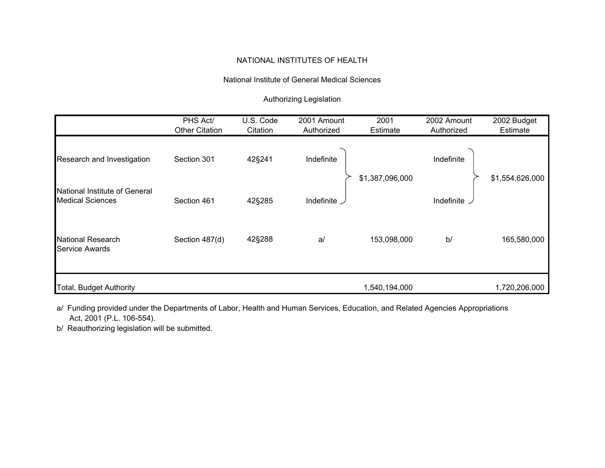## National Institute of General Medical Sciences

# Authorizing Legislation

|                                                          | PHS Act/<br><b>Other Citation</b> | U.S. Code<br>Citation | 2001 Amount<br>Authorized | 2001<br><b>Estimate</b> | 2002 Amount<br>Authorized | 2002 Budget<br>Estimate |
|----------------------------------------------------------|-----------------------------------|-----------------------|---------------------------|-------------------------|---------------------------|-------------------------|
| Research and Investigation                               | Section 301                       | 42§241                | Indefinite                | \$1,387,096,000         | Indefinite                | \$1,554,626,000         |
| National Institute of General<br><b>Medical Sciences</b> | Section 461                       | 42§285                | Indefinite                |                         | Indefinite _              |                         |
| <b>National Research</b><br><b>Service Awards</b>        | Section 487(d)                    | 42§288                | a                         | 153,098,000             | b/                        | 165,580,000             |
| <b>Total, Budget Authority</b>                           |                                   |                       |                           | 1,540,194,000           |                           | 1,720,206,000           |

a/ Funding provided under the Departments of Labor, Health and Human Services, Education, and Related Agencies Appropriations Act, 2001 (P.L. 106-554).

b/ Reauthorizing legislation will be submitted.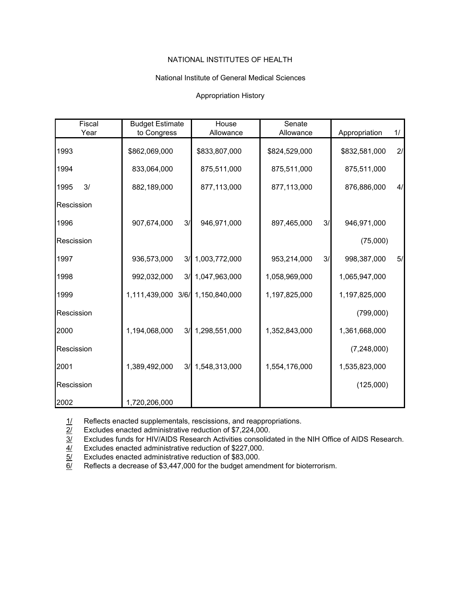#### National Institute of General Medical Sciences

#### Appropriation History

| Fiscal     | <b>Budget Estimate</b>           |    | House         | Senate        |    |               |    |
|------------|----------------------------------|----|---------------|---------------|----|---------------|----|
| Year       | to Congress                      |    | Allowance     | Allowance     |    | Appropriation | 1/ |
| 1993       | \$862,069,000                    |    | \$833,807,000 | \$824,529,000 |    | \$832,581,000 | 2/ |
| 1994       | 833,064,000                      |    | 875,511,000   | 875,511,000   |    | 875,511,000   |    |
| 3/<br>1995 | 882,189,000                      |    | 877,113,000   | 877,113,000   |    | 876,886,000   | 4/ |
| Rescission |                                  |    |               |               |    |               |    |
| 1996       | 907,674,000                      | 3/ | 946,971,000   | 897,465,000   | 3/ | 946,971,000   |    |
| Rescission |                                  |    |               |               |    | (75,000)      |    |
| 1997       | 936,573,000                      | 3/ | 1,003,772,000 | 953,214,000   | 3/ | 998,387,000   | 5/ |
| 1998       | 992,032,000                      | 3/ | 1,047,963,000 | 1,058,969,000 |    | 1,065,947,000 |    |
| 1999       | 1,111,439,000 3/6/ 1,150,840,000 |    |               | 1,197,825,000 |    | 1,197,825,000 |    |
| Rescission |                                  |    |               |               |    | (799,000)     |    |
| 2000       | 1,194,068,000                    | 3/ | 1,298,551,000 | 1,352,843,000 |    | 1,361,668,000 |    |
| Rescission |                                  |    |               |               |    | (7,248,000)   |    |
| 2001       | 1,389,492,000                    | 3/ | 1,548,313,000 | 1,554,176,000 |    | 1,535,823,000 |    |
| Rescission |                                  |    |               |               |    | (125,000)     |    |
| 2002       | 1,720,206,000                    |    |               |               |    |               |    |

1/ Reflects enacted supplementals, rescissions, and reappropriations.<br> $\overline{2l}$  Excludes enacted administrative reduction of \$7,224,000.

 $\frac{2}{1}$  Excludes enacted administrative reduction of \$7,224,000.<br> $\frac{3}{1}$  Excludes funds for HIV/AIDS Research Activities consolidation Excludes funds for HIV/AIDS Research Activities consolidated in the NIH Office of AIDS Research.

4/ Excludes enacted administrative reduction of \$227,000.

5/ Excludes enacted administrative reduction of \$83,000.

6/ Reflects a decrease of \$3,447,000 for the budget amendment for bioterrorism.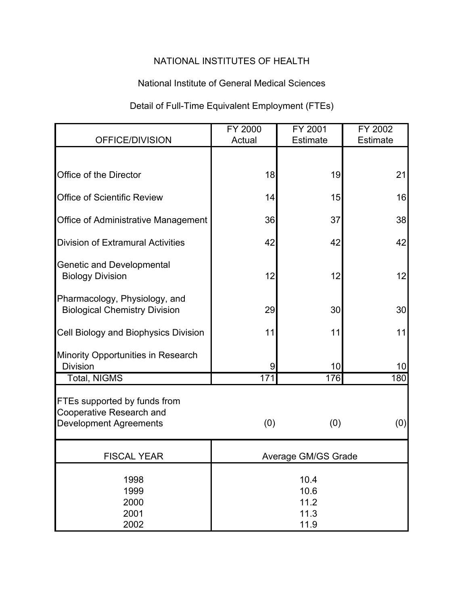# National Institute of General Medical Sciences

# Detail of Full-Time Equivalent Employment (FTEs)

|                                                                                           | FY 2000                              | FY 2001             | FY 2002         |  |  |
|-------------------------------------------------------------------------------------------|--------------------------------------|---------------------|-----------------|--|--|
| OFFICE/DIVISION                                                                           | Actual                               | <b>Estimate</b>     | <b>Estimate</b> |  |  |
|                                                                                           |                                      |                     |                 |  |  |
| Office of the Director                                                                    | 18                                   | 19                  | 21              |  |  |
| <b>Office of Scientific Review</b>                                                        | 14                                   | 15                  | 16              |  |  |
| <b>Office of Administrative Management</b>                                                | 36                                   | 37                  | 38              |  |  |
| <b>Division of Extramural Activities</b>                                                  | 42                                   | 42                  | 42              |  |  |
| <b>Genetic and Developmental</b><br><b>Biology Division</b>                               | 12                                   | 12                  | 12              |  |  |
| Pharmacology, Physiology, and<br><b>Biological Chemistry Division</b>                     | 29                                   | 30                  | 30              |  |  |
| Cell Biology and Biophysics Division                                                      | 11                                   | 11                  | 11              |  |  |
| <b>Minority Opportunities in Research</b><br><b>Division</b>                              | 9                                    | 10                  | 10              |  |  |
| <b>Total, NIGMS</b>                                                                       | 171                                  | 176                 | 180             |  |  |
| FTEs supported by funds from<br>Cooperative Research and<br><b>Development Agreements</b> | (0)                                  | (0)                 | (0)             |  |  |
| <b>FISCAL YEAR</b>                                                                        |                                      | Average GM/GS Grade |                 |  |  |
| 1998<br>1999<br>2000<br>2001<br>2002                                                      | 10.4<br>10.6<br>11.2<br>11.3<br>11.9 |                     |                 |  |  |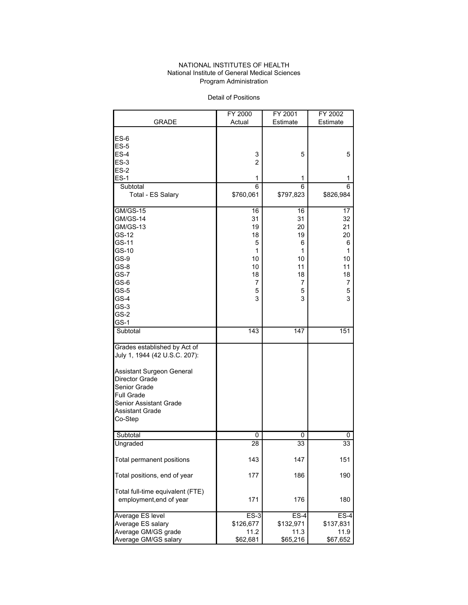#### NATIONAL INSTITUTES OF HEALTH National Institute of General Medical Sciences Program Administration

Detail of Positions

|                                                    | FY 2000   | FY 2001   | FY 2002   |
|----------------------------------------------------|-----------|-----------|-----------|
| <b>GRADE</b>                                       | Actual    | Estimate  | Estimate  |
|                                                    |           |           |           |
| $ES-6$                                             |           |           |           |
| $ES-5$                                             |           |           |           |
| $ES-4$                                             | 3         | 5         | 5         |
| $ES-3$                                             | 2         |           |           |
| $ES-2$                                             |           |           |           |
| $ES-1$                                             | 1         | 1         | 1         |
| Subtotal                                           | 6         | 6         | 6         |
| Total - ES Salary                                  | \$760,061 | \$797,823 | \$826,984 |
|                                                    |           |           |           |
| <b>GM/GS-15</b>                                    | 16        | 16        | 17        |
| <b>GM/GS-14</b>                                    | 31        | 31        | 32        |
| <b>GM/GS-13</b>                                    | 19        | 20        | 21        |
| GS-12                                              | 18        | 19        | 20        |
| GS-11                                              | 5         | 6         | 6         |
| GS-10                                              | 1         | 1         | 1         |
| GS-9                                               | 10        | 10        | 10        |
| GS-8                                               | 10        | 11        | 11        |
| GS-7                                               | 18        | 18        | 18        |
| GS-6                                               | 7         | 7         | 7         |
| $GS-5$                                             | 5         | 5         | 5         |
| $GS-4$                                             | 3         | 3         | 3         |
| $GS-3$                                             |           |           |           |
| $GS-2$                                             |           |           |           |
|                                                    |           |           |           |
| $GS-1$                                             |           |           |           |
| Subtotal                                           | 143       | 147       | 151       |
| Grades established by Act of                       |           |           |           |
| July 1, 1944 (42 U.S.C. 207):                      |           |           |           |
|                                                    |           |           |           |
|                                                    |           |           |           |
| Assistant Surgeon General<br><b>Director Grade</b> |           |           |           |
|                                                    |           |           |           |
| Senior Grade                                       |           |           |           |
| <b>Full Grade</b>                                  |           |           |           |
| Senior Assistant Grade                             |           |           |           |
| <b>Assistant Grade</b>                             |           |           |           |
| Co-Step                                            |           |           |           |
| Subtotal                                           | 0         | 0         | 0         |
| Ungraded                                           | 28        | 33        | 33        |
|                                                    |           |           |           |
| Total permanent positions                          | 143       | 147       | 151       |
|                                                    |           |           |           |
| Total positions, end of year                       | 177       | 186       | 190       |
|                                                    |           |           |           |
| Total full-time equivalent (FTE)                   |           |           |           |
| employment, end of year                            | 171       | 176       | 180       |
|                                                    |           |           |           |
| Average ES level                                   | $ES-3$    | $ES-4$    | $ES-4$    |
| Average ES salary                                  | \$126,677 | \$132,971 | \$137,831 |
| Average GM/GS grade                                | 11.2      | 11.3      | 11.9      |
| Average GM/GS salary                               | \$62,681  | \$65,216  | \$67,652  |